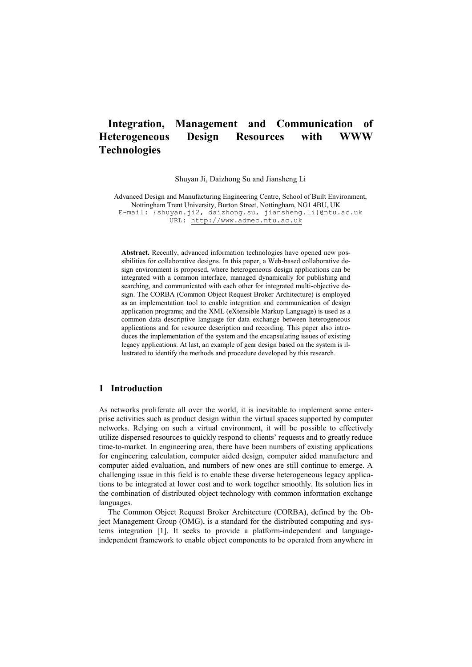# **Integration, Management and Communication of Heterogeneous Design Resources with WWW Technologies**

Shuyan Ji, Daizhong Su and Jiansheng Li

Advanced Design and Manufacturing Engineering Centre, School of Built Environment, Nottingham Trent University, Burton Street, Nottingham, NG1 4BU, UK E-mail: {shuyan.ji2, daizhong.su, jiansheng.li}@ntu.ac.uk URL: [http://www.admec.ntu.ac.uk](http://www.admec.ntu.ac.uk/)

**Abstract.** Recently, advanced information technologies have opened new possibilities for collaborative designs. In this paper, a Web-based collaborative design environment is proposed, where heterogeneous design applications can be integrated with a common interface, managed dynamically for publishing and searching, and communicated with each other for integrated multi-objective design. The CORBA (Common Object Request Broker Architecture) is employed as an implementation tool to enable integration and communication of design application programs; and the XML (eXtensible Markup Language) is used as a common data descriptive language for data exchange between heterogeneous applications and for resource description and recording. This paper also introduces the implementation of the system and the encapsulating issues of existing legacy applications. At last, an example of gear design based on the system is illustrated to identify the methods and procedure developed by this research.

## **1 Introduction**

As networks proliferate all over the world, it is inevitable to implement some enterprise activities such as product design within the virtual spaces supported by computer networks. Relying on such a virtual environment, it will be possible to effectively utilize dispersed resources to quickly respond to clients' requests and to greatly reduce time-to-market. In engineering area, there have been numbers of existing applications for engineering calculation, computer aided design, computer aided manufacture and computer aided evaluation, and numbers of new ones are still continue to emerge. A challenging issue in this field is to enable these diverse heterogeneous legacy applications to be integrated at lower cost and to work together smoothly. Its solution lies in the combination of distributed object technology with common information exchange languages.

The Common Object Request Broker Architecture (CORBA), defined by the Object Management Group (OMG), is a standard for the distributed computing and systems integration [1]. It seeks to provide a platform-independent and languageindependent framework to enable object components to be operated from anywhere in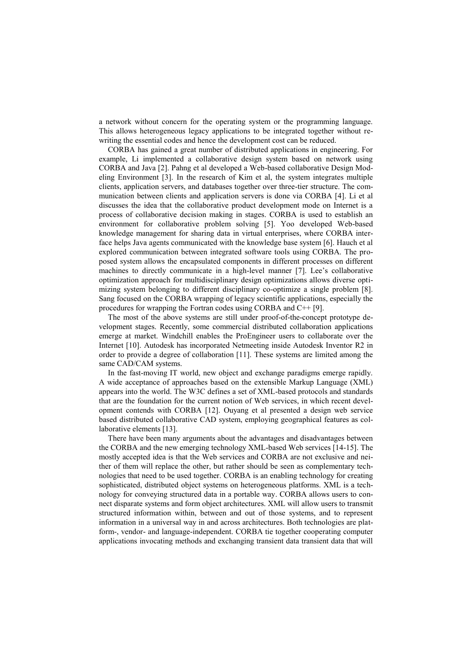a network without concern for the operating system or the programming language. This allows heterogeneous legacy applications to be integrated together without rewriting the essential codes and hence the development cost can be reduced.

CORBA has gained a great number of distributed applications in engineering. For example, Li implemented a collaborative design system based on network using CORBA and Java [2]. Pahng et al developed a Web-based collaborative Design Modeling Environment [3]. In the research of Kim et al, the system integrates multiple clients, application servers, and databases together over three-tier structure. The communication between clients and application servers is done via CORBA [4]. Li et al discusses the idea that the collaborative product development mode on Internet is a process of collaborative decision making in stages. CORBA is used to establish an environment for collaborative problem solving [5]. Yoo developed Web-based knowledge management for sharing data in virtual enterprises, where CORBA interface helps Java agents communicated with the knowledge base system [6]. Hauch et al explored communication between integrated software tools using CORBA. The proposed system allows the encapsulated components in different processes on different machines to directly communicate in a high-level manner [7]. Lee's collaborative optimization approach for multidisciplinary design optimizations allows diverse optimizing system belonging to different disciplinary co-optimize a single problem [8]. Sang focused on the CORBA wrapping of legacy scientific applications, especially the procedures for wrapping the Fortran codes using CORBA and C++ [9].

The most of the above systems are still under proof-of-the-concept prototype development stages. Recently, some commercial distributed collaboration applications emerge at market. Windchill enables the ProEngineer users to collaborate over the Internet [10]. Autodesk has incorporated Netmeeting inside Autodesk Inventor R2 in order to provide a degree of collaboration [11]. These systems are limited among the same CAD/CAM systems.

In the fast-moving IT world, new object and exchange paradigms emerge rapidly. A wide acceptance of approaches based on the extensible Markup Language (XML) appears into the world. The W3C defines a set of XML-based protocols and standards that are the foundation for the current notion of Web services, in which recent development contends with CORBA [12]. Ouyang et al presented a design web service based distributed collaborative CAD system, employing geographical features as collaborative elements [13].

There have been many arguments about the advantages and disadvantages between the CORBA and the new emerging technology XML-based Web services [14-15]. The mostly accepted idea is that the Web services and CORBA are not exclusive and neither of them will replace the other, but rather should be seen as complementary technologies that need to be used together. CORBA is an enabling technology for creating sophisticated, distributed object systems on heterogeneous platforms. XML is a technology for conveying structured data in a portable way. CORBA allows users to connect disparate systems and form object architectures. XML will allow users to transmit structured information within, between and out of those systems, and to represent information in a universal way in and across architectures. Both technologies are platform-, vendor- and language-independent. CORBA tie together cooperating computer applications invocating methods and exchanging transient data transient data that will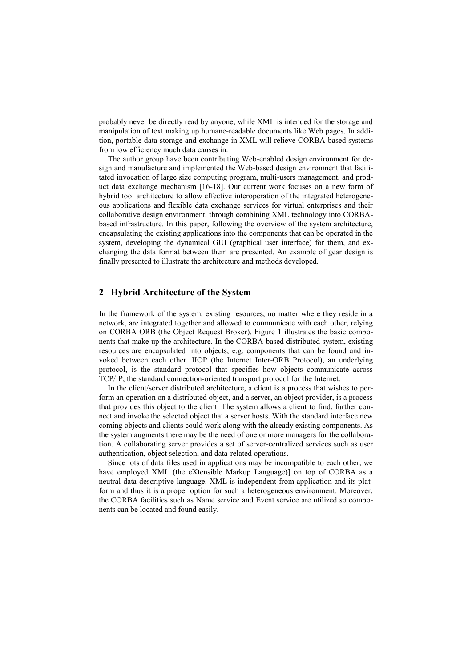probably never be directly read by anyone, while XML is intended for the storage and manipulation of text making up humane-readable documents like Web pages. In addition, portable data storage and exchange in XML will relieve CORBA-based systems from low efficiency much data causes in.

The author group have been contributing Web-enabled design environment for design and manufacture and implemented the Web-based design environment that facilitated invocation of large size computing program, multi-users management, and product data exchange mechanism [16-18]. Our current work focuses on a new form of hybrid tool architecture to allow effective interoperation of the integrated heterogeneous applications and flexible data exchange services for virtual enterprises and their collaborative design environment, through combining XML technology into CORBAbased infrastructure. In this paper, following the overview of the system architecture, encapsulating the existing applications into the components that can be operated in the system, developing the dynamical GUI (graphical user interface) for them, and exchanging the data format between them are presented. An example of gear design is finally presented to illustrate the architecture and methods developed.

## **2 Hybrid Architecture of the System**

In the framework of the system, existing resources, no matter where they reside in a network, are integrated together and allowed to communicate with each other, relying on CORBA ORB (the Object Request Broker). Figure 1 illustrates the basic components that make up the architecture. In the CORBA-based distributed system, existing resources are encapsulated into objects, e.g. components that can be found and invoked between each other. IIOP (the Internet Inter-ORB Protocol), an underlying protocol, is the standard protocol that specifies how objects communicate across TCP/IP, the standard connection-oriented transport protocol for the Internet.

In the client/server distributed architecture, a client is a process that wishes to perform an operation on a distributed object, and a server, an object provider, is a process that provides this object to the client. The system allows a client to find, further connect and invoke the selected object that a server hosts. With the standard interface new coming objects and clients could work along with the already existing components. As the system augments there may be the need of one or more managers for the collaboration. A collaborating server provides a set of server-centralized services such as user authentication, object selection, and data-related operations.

Since lots of data files used in applications may be incompatible to each other, we have employed XML (the eXtensible Markup Language)] on top of CORBA as a neutral data descriptive language. XML is independent from application and its platform and thus it is a proper option for such a heterogeneous environment. Moreover, the CORBA facilities such as Name service and Event service are utilized so components can be located and found easily.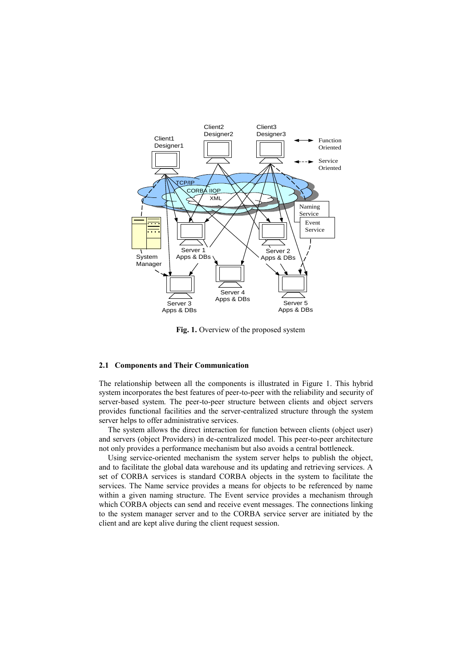

**Fig. 1.** Overview of the proposed system

### **2.1 Components and Their Communication**

The relationship between all the components is illustrated in Figure 1. This hybrid system incorporates the best features of peer-to-peer with the reliability and security of server-based system. The peer-to-peer structure between clients and object servers provides functional facilities and the server-centralized structure through the system server helps to offer administrative services.

The system allows the direct interaction for function between clients (object user) and servers (object Providers) in de-centralized model. This peer-to-peer architecture not only provides a performance mechanism but also avoids a central bottleneck.

Using service-oriented mechanism the system server helps to publish the object, and to facilitate the global data warehouse and its updating and retrieving services. A set of CORBA services is standard CORBA objects in the system to facilitate the services. The Name service provides a means for objects to be referenced by name within a given naming structure. The Event service provides a mechanism through which CORBA objects can send and receive event messages. The connections linking to the system manager server and to the CORBA service server are initiated by the client and are kept alive during the client request session.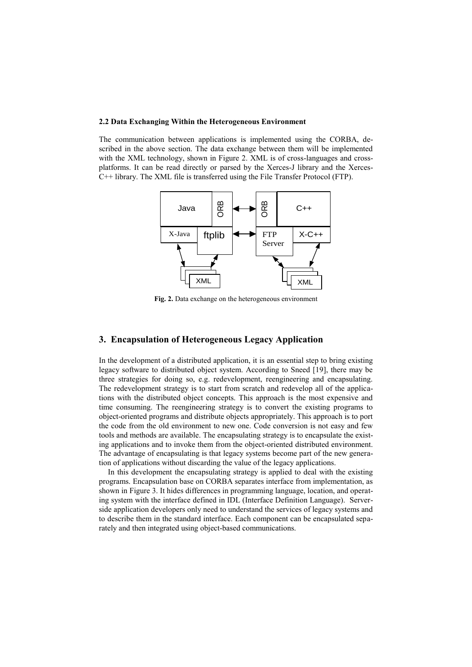#### **2.2 Data Exchanging Within the Heterogeneous Environment**

The communication between applications is implemented using the CORBA, described in the above section. The data exchange between them will be implemented with the XML technology, shown in Figure 2. XML is of cross-languages and crossplatforms. It can be read directly or parsed by the Xerces-J library and the Xerces-C++ library. The XML file is transferred using the File Transfer Protocol (FTP).



**Fig. 2.** Data exchange on the heterogeneous environment

## **3. Encapsulation of Heterogeneous Legacy Application**

In the development of a distributed application, it is an essential step to bring existing legacy software to distributed object system. According to Sneed [19], there may be three strategies for doing so, e.g. redevelopment, reengineering and encapsulating. The redevelopment strategy is to start from scratch and redevelop all of the applications with the distributed object concepts. This approach is the most expensive and time consuming. The reengineering strategy is to convert the existing programs to object-oriented programs and distribute objects appropriately. This approach is to port the code from the old environment to new one. Code conversion is not easy and few tools and methods are available. The encapsulating strategy is to encapsulate the existing applications and to invoke them from the object-oriented distributed environment. The advantage of encapsulating is that legacy systems become part of the new generation of applications without discarding the value of the legacy applications.

In this development the encapsulating strategy is applied to deal with the existing programs. Encapsulation base on CORBA separates interface from implementation, as shown in Figure 3. It hides differences in programming language, location, and operating system with the interface defined in IDL (Interface Definition Language). Serverside application developers only need to understand the services of legacy systems and to describe them in the standard interface. Each component can be encapsulated separately and then integrated using object-based communications.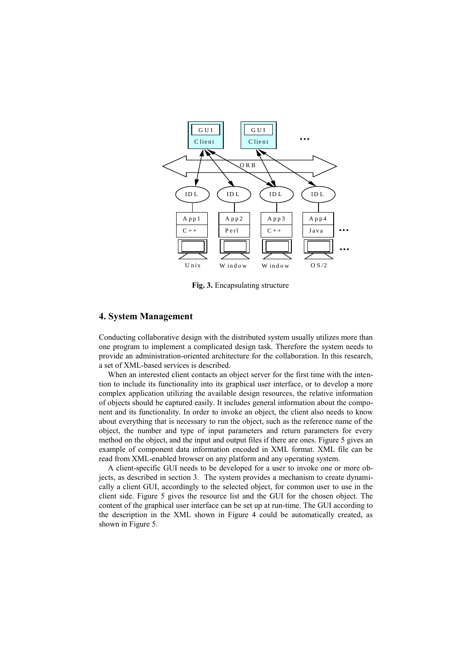

**Fig. 3.** Encapsulating structure

## **4. System Management**

Conducting collaborative design with the distributed system usually utilizes more than one program to implement a complicated design task. Therefore the system needs to provide an administration-oriented architecture for the collaboration. In this research, a set of XML-based services is described.

When an interested client contacts an object server for the first time with the intention to include its functionality into its graphical user interface, or to develop a more complex application utilizing the available design resources, the relative information of objects should be captured easily. It includes general information about the component and its functionality. In order to invoke an object, the client also needs to know about everything that is necessary to run the object, such as the reference name of the object, the number and type of input parameters and return parameters for every method on the object, and the input and output files if there are ones. Figure 5 gives an example of component data information encoded in XML format. XML file can be read from XML-enabled browser on any platform and any operating system.

A client-specific GUI needs to be developed for a user to invoke one or more objects, as described in section 3. The system provides a mechanism to create dynamically a client GUI, accordingly to the selected object, for common user to use in the client side. Figure 5 gives the resource list and the GUI for the chosen object. The content of the graphical user interface can be set up at run-time. The GUI according to the description in the XML shown in Figure 4 could be automatically created, as shown in Figure 5.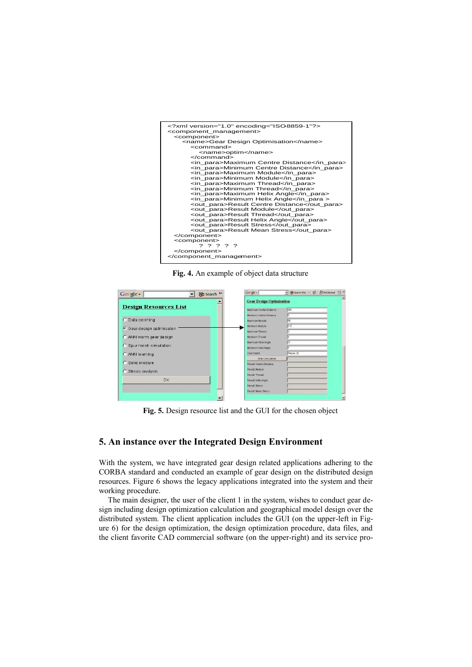

**Fig. 4.** An example of object data structure



**Fig. 5.** Design resource list and the GUI for the chosen object

## **5. An instance over the Integrated Design Environment**

With the system, we have integrated gear design related applications adhering to the CORBA standard and conducted an example of gear design on the distributed design resources. Figure 6 shows the legacy applications integrated into the system and their working procedure.

The main designer, the user of the client 1 in the system, wishes to conduct gear design including design optimization calculation and geographical model design over the distributed system. The client application includes the GUI (on the upper-left in Figure 6) for the design optimization, the design optimization procedure, data files, and the client favorite CAD commercial software (on the upper-right) and its service pro-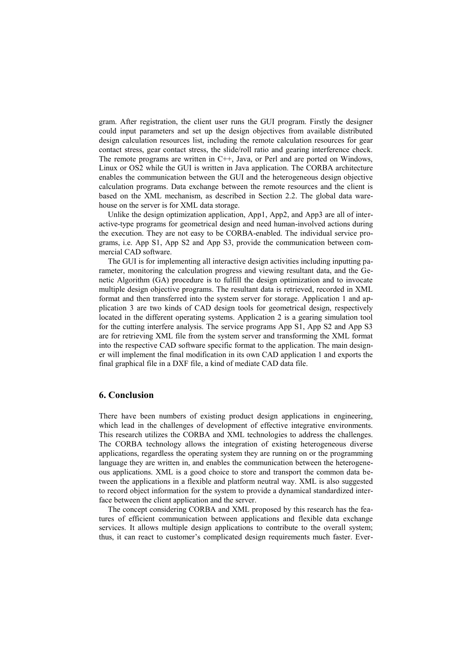gram. After registration, the client user runs the GUI program. Firstly the designer could input parameters and set up the design objectives from available distributed design calculation resources list, including the remote calculation resources for gear contact stress, gear contact stress, the slide/roll ratio and gearing interference check. The remote programs are written in C++, Java, or Perl and are ported on Windows, Linux or OS2 while the GUI is written in Java application. The CORBA architecture enables the communication between the GUI and the heterogeneous design objective calculation programs. Data exchange between the remote resources and the client is based on the XML mechanism, as described in Section 2.2. The global data warehouse on the server is for XML data storage.

Unlike the design optimization application, App1, App2, and App3 are all of interactive-type programs for geometrical design and need human-involved actions during the execution. They are not easy to be CORBA-enabled. The individual service programs, i.e. App S1, App S2 and App S3, provide the communication between commercial CAD software.

The GUI is for implementing all interactive design activities including inputting parameter, monitoring the calculation progress and viewing resultant data, and the Genetic Algorithm (GA) procedure is to fulfill the design optimization and to invocate multiple design objective programs. The resultant data is retrieved, recorded in XML format and then transferred into the system server for storage. Application 1 and application 3 are two kinds of CAD design tools for geometrical design, respectively located in the different operating systems. Application 2 is a gearing simulation tool for the cutting interfere analysis. The service programs App S1, App S2 and App S3 are for retrieving XML file from the system server and transforming the XML format into the respective CAD software specific format to the application. The main designer will implement the final modification in its own CAD application 1 and exports the final graphical file in a DXF file, a kind of mediate CAD data file.

## **6. Conclusion**

There have been numbers of existing product design applications in engineering, which lead in the challenges of development of effective integrative environments. This research utilizes the CORBA and XML technologies to address the challenges. The CORBA technology allows the integration of existing heterogeneous diverse applications, regardless the operating system they are running on or the programming language they are written in, and enables the communication between the heterogeneous applications. XML is a good choice to store and transport the common data between the applications in a flexible and platform neutral way. XML is also suggested to record object information for the system to provide a dynamical standardized interface between the client application and the server.

The concept considering CORBA and XML proposed by this research has the features of efficient communication between applications and flexible data exchange services. It allows multiple design applications to contribute to the overall system; thus, it can react to customer's complicated design requirements much faster. Ever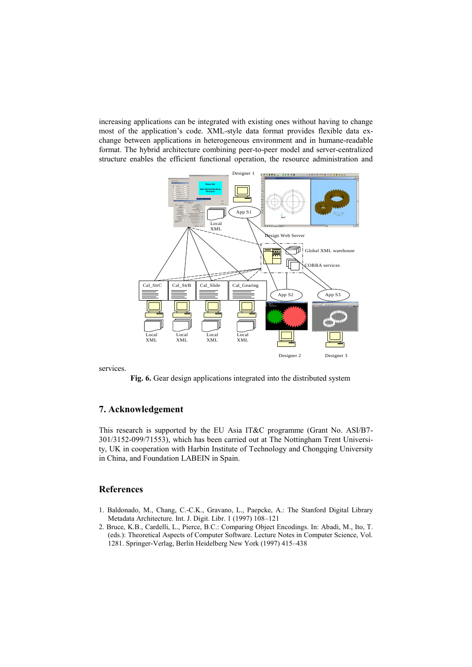increasing applications can be integrated with existing ones without having to change most of the application's code. XML-style data format provides flexible data exchange between applications in heterogeneous environment and in humane-readable format. The hybrid architecture combining peer-to-peer model and server-centralized structure enables the efficient functional operation, the resource administration and



services.

**Fig. 6.** Gear design applications integrated into the distributed system

## **7. Acknowledgement**

This research is supported by the EU Asia IT&C programme (Grant No. ASI/B7- 301/3152-099/71553), which has been carried out at The Nottingham Trent University, UK in cooperation with Harbin Institute of Technology and Chongqing University in China, and Foundation LABEIN in Spain.

## **References**

- 1. Baldonado, M., Chang, C.-C.K., Gravano, L., Paepcke, A.: The Stanford Digital Library Metadata Architecture. Int. J. Digit. Libr. 1 (1997) 108–121
- 2. Bruce, K.B., Cardelli, L., Pierce, B.C.: Comparing Object Encodings. In: Abadi, M., Ito, T. (eds.): Theoretical Aspects of Computer Software. Lecture Notes in Computer Science, Vol. 1281. Springer-Verlag, Berlin Heidelberg New York (1997) 415–438